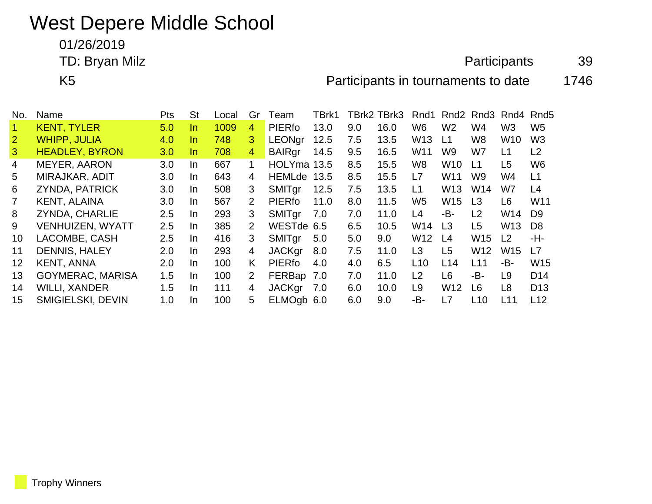## West Depere Middle School

01/26/2019

TD: Bryan Milz **Alternative Contract Contract Contract Contract Contract Contract Contract Contract Contract Contract Contract Contract Contract Contract Contract Contract Contract Contract Contract Contract Contract Contr** 

K5 **Participants in tournaments to date** 1746

| No.            | Name                     | <b>Pts</b> | <b>St</b> | Local | Gr                        | I eam         | TBrk1 |     | TBrk2 TBrk3 | Rnd1            | Rnd2            | Rnd3            | Rnd4            | Rnd <sub>5</sub> |
|----------------|--------------------------|------------|-----------|-------|---------------------------|---------------|-------|-----|-------------|-----------------|-----------------|-----------------|-----------------|------------------|
|                | <b>KENT, TYLER</b>       | 5.0        | In.       | 1009  | 4                         | PIERfo        | 13.0  | 9.0 | 16.0        | W <sub>6</sub>  | W <sub>2</sub>  | W4              | W3              | W <sub>5</sub>   |
| $\overline{2}$ | <b>WHIPP, JULIA</b>      | 4.0        | In.       | 748   | 3                         | <b>LEONgr</b> | 12.5  | 7.5 | 13.5        | W <sub>13</sub> | L1              | W8              | W <sub>10</sub> | W <sub>3</sub>   |
| 3              | <b>HEADLEY, BYRON</b>    | 3.0        | In.       | 708   | $\overline{4}$            | <b>BAIRgr</b> | 14.5  | 9.5 | 16.5        | W11             | W9              | W7              | L1              | L2               |
| 4              | <b>MEYER, AARON</b>      | 3.0        | In.       | 667   | 1                         | HOLYma 13.5   |       | 8.5 | 15.5        | W <sub>8</sub>  | W <sub>10</sub> | L1              | L <sub>5</sub>  | W <sub>6</sub>   |
| 5              | MIRAJKAR, ADIT           | 3.0        | In.       | 643   | 4                         | <b>HEMLde</b> | 13.5  | 8.5 | 15.5        | L7              | W <sub>11</sub> | W9              | W4              | L1               |
| 6              | <b>ZYNDA, PATRICK</b>    | 3.0        | In.       | 508   | 3                         | <b>SMITgr</b> | 12.5  | 7.5 | 13.5        | L1              | W <sub>13</sub> | W14             | W7              | L4               |
| $\mathbf{7}$   | <b>KENT, ALAINA</b>      | 3.0        | In.       | 567   | $\mathbf{2}^{\mathsf{I}}$ | PIERfo        | 11.0  | 8.0 | 11.5        | W <sub>5</sub>  | W <sub>15</sub> | L <sub>3</sub>  | L <sub>6</sub>  | W <sub>11</sub>  |
| 8              | <b>ZYNDA, CHARLIE</b>    | 2.5        | In.       | 293   | 3                         | SMITgr        | 7.0   | 7.0 | 11.0        | L4              | -B-             | L2              | W14             | D <sub>9</sub>   |
| 9              | <b>VENHUIZEN, WYATT</b>  | $2.5\,$    | In.       | 385   | 2                         | WESTde 6.5    |       | 6.5 | 10.5        | W14             | L3              | L <sub>5</sub>  | W <sub>13</sub> | D8               |
| 10             | LACOMBE, CASH            | $2.5\,$    | In.       | 416   | 3                         | <b>SMITgr</b> | 5.0   | 5.0 | 9.0         | W <sub>12</sub> | L4              | W <sub>15</sub> | L <sub>2</sub>  | -H-              |
| 11             | <b>DENNIS, HALEY</b>     | 2.0        | In.       | 293   | 4                         | <b>JACKgr</b> | 8.0   | 7.5 | 11.0        | L <sub>3</sub>  | L <sub>5</sub>  | W <sub>12</sub> | W <sub>15</sub> | L7               |
| 12             | <b>KENT, ANNA</b>        | 2.0        | In.       | 100   | K                         | <b>PIERfo</b> | 4.0   | 4.0 | 6.5         | L10             | L14             | L11             | -B-             | W <sub>15</sub>  |
| 13             | <b>GOYMERAC, MARISA</b>  | 1.5        | In.       | 100   | 2                         | FERBap        | 7.0   | 7.0 | 11.0        | L2              | L6              | -B-             | L9              | D <sub>14</sub>  |
| 14             | <b>WILLI, XANDER</b>     | 1.5        | In.       | 111   | 4                         | <b>JACKgr</b> | 7.0   | 6.0 | 10.0        | L <sub>9</sub>  | W <sub>12</sub> | L <sub>6</sub>  | L8              | D <sub>13</sub>  |
| 15             | <b>SMIGIELSKI, DEVIN</b> | 1.0        | In        | 100   | 5                         | ELMOgb 6.0    |       | 6.0 | 9.0         | -B-             | L7              | L10             | L11             | L12              |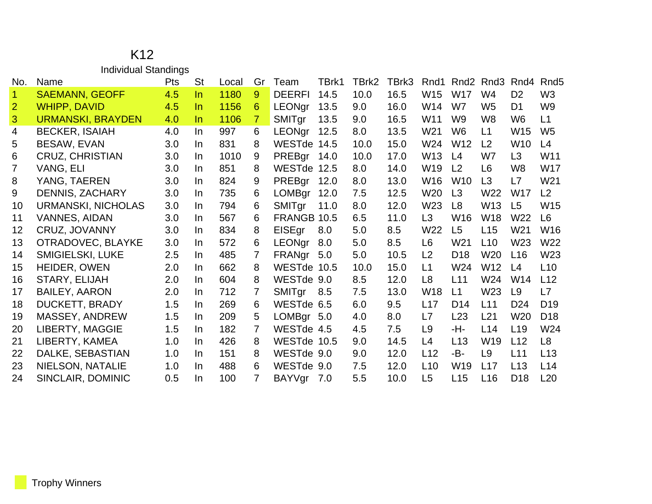## K12 Individual Standings

| No.                  | Name                     | <b>Pts</b> | <b>St</b> | Local | Gr | Team          | TBrk1 | TBrk2 | TBrk3 | Rnd1            | Rnd <sub>2</sub> | Rnd3            | Rnd4            | Rnd <sub>5</sub> |
|----------------------|--------------------------|------------|-----------|-------|----|---------------|-------|-------|-------|-----------------|------------------|-----------------|-----------------|------------------|
| $\blacktriangleleft$ | <b>SAEMANN, GEOFF</b>    | 4.5        | In.       | 1180  | 9  | <b>DEERFI</b> | 14.5  | 10.0  | 16.5  | W15             | <b>W17</b>       | W4              | D <sub>2</sub>  | W <sub>3</sub>   |
| 2                    | <b>WHIPP, DAVID</b>      | 4.5        | In.       | 1156  | 6. | <b>LEONgr</b> | 13.5  | 9.0   | 16.0  | W14             | W7               | W <sub>5</sub>  | D <sub>1</sub>  | W <sub>9</sub>   |
| 3                    | <b>URMANSKI, BRAYDEN</b> | 4.0        | In.       | 1106  | 7. | SMITgr        | 13.5  | 9.0   | 16.5  | W11             | W <sub>9</sub>   | W <sub>8</sub>  | W6              | L1               |
| 4                    | <b>BECKER, ISAIAH</b>    | 4.0        | In.       | 997   | 6  | LEONgr        | 12.5  | 8.0   | 13.5  | W21             | W <sub>6</sub>   | L1              | W <sub>15</sub> | W <sub>5</sub>   |
| 5                    | BESAW, EVAN              | 3.0        | In.       | 831   | 8  | WESTde 14.5   |       | 10.0  | 15.0  | W24             | W12              | L <sub>2</sub>  | W <sub>10</sub> | L4               |
| 6                    | <b>CRUZ, CHRISTIAN</b>   | 3.0        | In.       | 1010  | 9  | PREBgr 14.0   |       | 10.0  | 17.0  | W <sub>13</sub> | L <sub>4</sub>   | W7              | L3              | W11              |
| 7                    | VANG, ELI                | 3.0        | In.       | 851   | 8  | WESTde 12.5   |       | 8.0   | 14.0  | W19             | L <sub>2</sub>   | L <sub>6</sub>  | W8              | W17              |
| 8                    | YANG, TAEREN             | 3.0        | In.       | 824   | 9  | PREBgr 12.0   |       | 8.0   | 13.0  | W16             | W <sub>10</sub>  | L3              | L7              | W21              |
| 9                    | <b>DENNIS, ZACHARY</b>   | 3.0        | In.       | 735   | 6  | LOMBgr 12.0   |       | 7.5   | 12.5  | W20             | L3               | W22             | W <sub>17</sub> | L2               |
| 10                   | URMANSKI, NICHOLAS       | 3.0        | In.       | 794   | 6  | SMITgr        | 11.0  | 8.0   | 12.0  | W <sub>23</sub> | L <sub>8</sub>   | W <sub>13</sub> | L <sub>5</sub>  | W15              |
| 11                   | <b>VANNES, AIDAN</b>     | 3.0        | In.       | 567   | 6  | FRANGB 10.5   |       | 6.5   | 11.0  | L3              | W16              | W18             | W22             | L6               |
| $12 \overline{ }$    | CRUZ, JOVANNY            | 3.0        | In.       | 834   | 8  | EISEgr        | 8.0   | 5.0   | 8.5   | W22             | L5               | L15             | W <sub>21</sub> | W <sub>16</sub>  |
| 13                   | OTRADOVEC, BLAYKE        | 3.0        | In.       | 572   | 6  | LEONgr        | 8.0   | 5.0   | 8.5   | L6              | W21              | L10             | W23             | W22              |
| 14                   | <b>SMIGIELSKI, LUKE</b>  | 2.5        | In.       | 485   | 7  | FRANgr 5.0    |       | 5.0   | 10.5  | L <sub>2</sub>  | D <sub>18</sub>  | W <sub>20</sub> | L16             | W <sub>23</sub>  |
| 15                   | HEIDER, OWEN             | 2.0        | In.       | 662   | 8  | WESTde 10.5   |       | 10.0  | 15.0  | L1              | W24              | W12             | L4              | L10              |
| 16                   | STARY, ELIJAH            | 2.0        | In.       | 604   | 8  | WESTde 9.0    |       | 8.5   | 12.0  | L <sub>8</sub>  | L11              | W <sub>24</sub> | W <sub>14</sub> | L12              |
| 17                   | <b>BAILEY, AARON</b>     | 2.0        | In.       | 712   | 7  | SMITgr        | 8.5   | 7.5   | 13.0  | <b>W18</b>      | L1               | W23             | L <sub>9</sub>  | L7               |
| 18                   | <b>DUCKETT, BRADY</b>    | 1.5        | In.       | 269   | 6  | WESTde 6.5    |       | 6.0   | 9.5   | L17             | D <sub>14</sub>  | L11             | D <sub>24</sub> | D <sub>19</sub>  |
| 19                   | MASSEY, ANDREW           | 1.5        | In.       | 209   | 5. | LOMBgr 5.0    |       | 4.0   | 8.0   | L7              | L23              | L21             | W20             | D <sub>18</sub>  |
| 20                   | <b>LIBERTY, MAGGIE</b>   | 1.5        | In.       | 182   | 7  | WESTde 4.5    |       | 4.5   | 7.5   | L9              | -H-              | L14             | L <sub>19</sub> | W24              |
| 21                   | LIBERTY, KAMEA           | 1.0        | In.       | 426   | 8  | WESTde 10.5   |       | 9.0   | 14.5  | L4              | L13              | W19             | L12             | L8               |
| 22                   | DALKE, SEBASTIAN         | 1.0        | In.       | 151   | 8  | WESTde 9.0    |       | 9.0   | 12.0  | L12             | -B-              | L <sub>9</sub>  | L11             | L13              |
| 23                   | NIELSON, NATALIE         | 1.0        | In.       | 488   | 6  | WESTde 9.0    |       | 7.5   | 12.0  | L10             | W19              | L17             | L13             | L14              |
| 24                   | SINCLAIR, DOMINIC        | 0.5        | In.       | 100   | 7  | BAYVgr 7.0    |       | 5.5   | 10.0  | L <sub>5</sub>  | L15              | L16             | D <sub>18</sub> | L20              |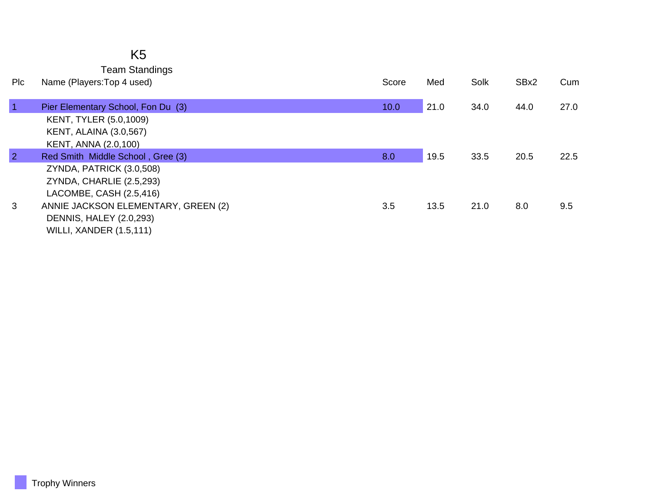| K5                    |
|-----------------------|
| <b>Team Standings</b> |

| <b>PIC</b>     | Name (Players: Top 4 used)          | Score | Med  | Solk | SBx2 | Cum  |
|----------------|-------------------------------------|-------|------|------|------|------|
| $\vert$ 1      | Pier Elementary School, Fon Du (3)  | 10.0  | 21.0 | 34.0 | 44.0 | 27.0 |
|                | <b>KENT, TYLER (5.0,1009)</b>       |       |      |      |      |      |
|                | <b>KENT, ALAINA (3.0,567)</b>       |       |      |      |      |      |
|                | KENT, ANNA (2.0,100)                |       |      |      |      |      |
| $\overline{2}$ | Red Smith Middle School, Gree (3)   | 8.0   | 19.5 | 33.5 | 20.5 | 22.5 |
|                | ZYNDA, PATRICK (3.0,508)            |       |      |      |      |      |
|                | ZYNDA, CHARLIE (2.5,293)            |       |      |      |      |      |
|                | LACOMBE, CASH (2.5,416)             |       |      |      |      |      |
| 3              | ANNIE JACKSON ELEMENTARY, GREEN (2) | 3.5   | 13.5 | 21.0 | 8.0  | 9.5  |
|                | <b>DENNIS, HALEY (2.0,293)</b>      |       |      |      |      |      |
|                | <b>WILLI, XANDER (1.5,111)</b>      |       |      |      |      |      |